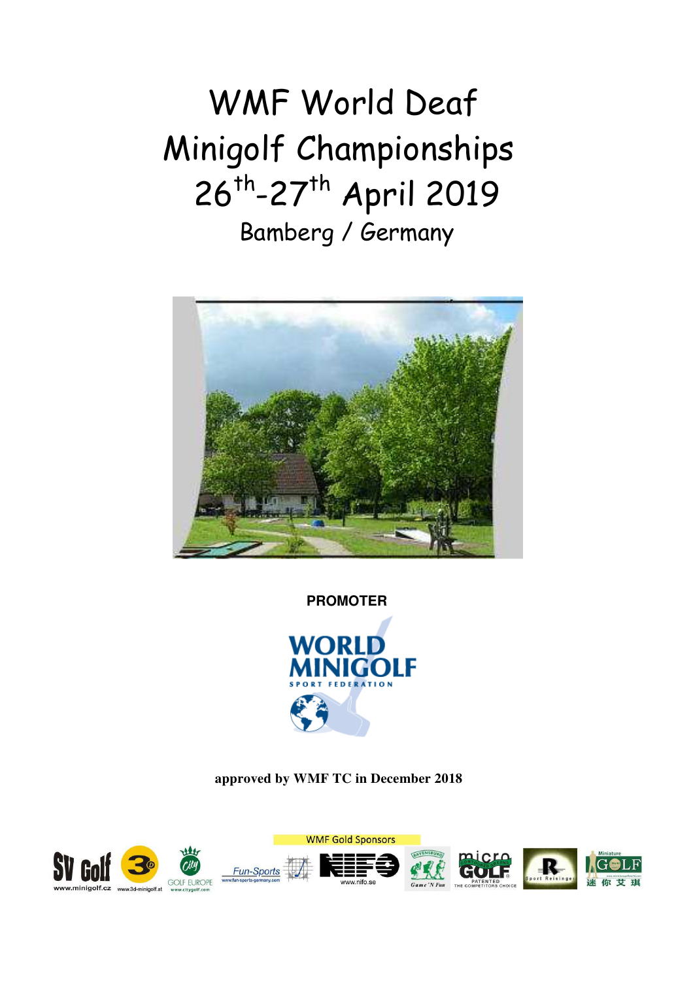# WMF World Deaf Minigolf Championships 26<sup>th</sup>-27<sup>th</sup> April 2019 Bamberg / Germany



**PROMOTER** 



**approved by WMF TC in December 2018** 

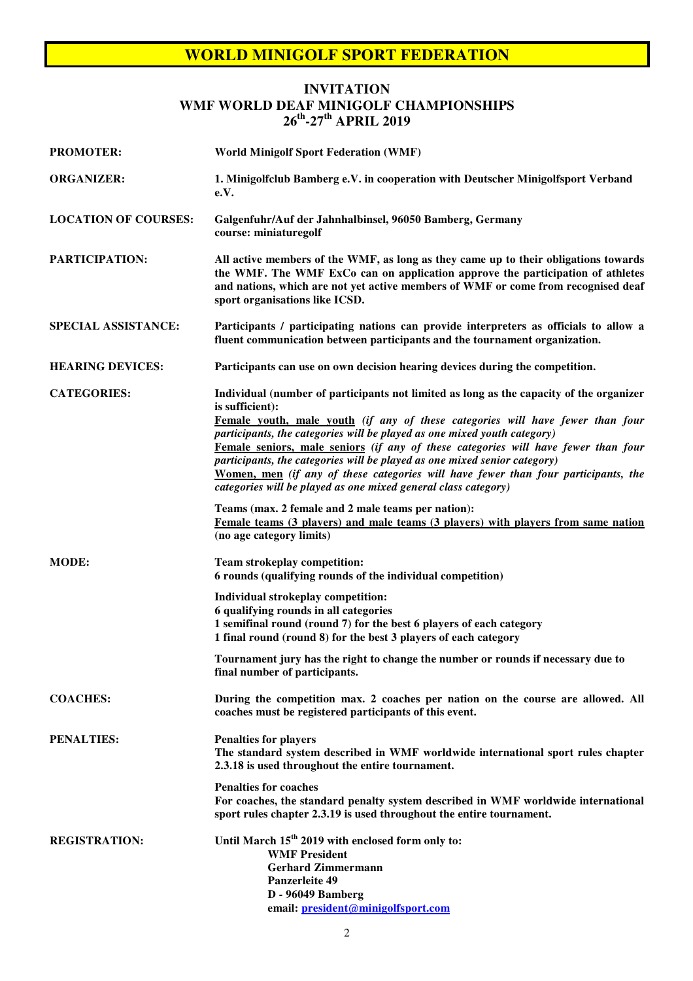#### **INVITATION WMF WORLD DEAF MINIGOLF CHAMPIONSHIPS 26th-27th APRIL 2019**

| <b>PROMOTER:</b>            | <b>World Minigolf Sport Federation (WMF)</b>                                                                                                                                                                                                                                                                                                                                                                                                                                                                                                                                                        |  |
|-----------------------------|-----------------------------------------------------------------------------------------------------------------------------------------------------------------------------------------------------------------------------------------------------------------------------------------------------------------------------------------------------------------------------------------------------------------------------------------------------------------------------------------------------------------------------------------------------------------------------------------------------|--|
| <b>ORGANIZER:</b>           | 1. Minigolfclub Bamberg e.V. in cooperation with Deutscher Minigolfsport Verband<br>e.V.                                                                                                                                                                                                                                                                                                                                                                                                                                                                                                            |  |
| <b>LOCATION OF COURSES:</b> | Galgenfuhr/Auf der Jahnhalbinsel, 96050 Bamberg, Germany<br>course: miniaturegolf                                                                                                                                                                                                                                                                                                                                                                                                                                                                                                                   |  |
| <b>PARTICIPATION:</b>       | All active members of the WMF, as long as they came up to their obligations towards<br>the WMF. The WMF ExCo can on application approve the participation of athletes<br>and nations, which are not yet active members of WMF or come from recognised deaf<br>sport organisations like ICSD.                                                                                                                                                                                                                                                                                                        |  |
| <b>SPECIAL ASSISTANCE:</b>  | Participants / participating nations can provide interpreters as officials to allow a<br>fluent communication between participants and the tournament organization.                                                                                                                                                                                                                                                                                                                                                                                                                                 |  |
| <b>HEARING DEVICES:</b>     | Participants can use on own decision hearing devices during the competition.                                                                                                                                                                                                                                                                                                                                                                                                                                                                                                                        |  |
| <b>CATEGORIES:</b>          | Individual (number of participants not limited as long as the capacity of the organizer<br>is sufficient):<br>Female youth, male youth (if any of these categories will have fewer than four<br>participants, the categories will be played as one mixed youth category)<br>Female seniors, male seniors (if any of these categories will have fewer than four<br>participants, the categories will be played as one mixed senior category)<br>Women, men (if any of these categories will have fewer than four participants, the<br>categories will be played as one mixed general class category) |  |
|                             | Teams (max. 2 female and 2 male teams per nation):<br>Female teams (3 players) and male teams (3 players) with players from same nation<br>(no age category limits)                                                                                                                                                                                                                                                                                                                                                                                                                                 |  |
| <b>MODE:</b>                | <b>Team strokeplay competition:</b><br>6 rounds (qualifying rounds of the individual competition)                                                                                                                                                                                                                                                                                                                                                                                                                                                                                                   |  |
|                             | Individual strokeplay competition:<br>6 qualifying rounds in all categories<br>1 semifinal round (round 7) for the best 6 players of each category<br>1 final round (round 8) for the best 3 players of each category                                                                                                                                                                                                                                                                                                                                                                               |  |
|                             | Tournament jury has the right to change the number or rounds if necessary due to<br>final number of participants.                                                                                                                                                                                                                                                                                                                                                                                                                                                                                   |  |
| <b>COACHES:</b>             | During the competition max. 2 coaches per nation on the course are allowed. All<br>coaches must be registered participants of this event.                                                                                                                                                                                                                                                                                                                                                                                                                                                           |  |
| <b>PENALTIES:</b>           | <b>Penalties for players</b><br>The standard system described in WMF worldwide international sport rules chapter<br>2.3.18 is used throughout the entire tournament.                                                                                                                                                                                                                                                                                                                                                                                                                                |  |
|                             | <b>Penalties for coaches</b><br>For coaches, the standard penalty system described in WMF worldwide international<br>sport rules chapter 2.3.19 is used throughout the entire tournament.                                                                                                                                                                                                                                                                                                                                                                                                           |  |
| <b>REGISTRATION:</b>        | Until March 15 <sup>th</sup> 2019 with enclosed form only to:<br><b>WMF President</b><br><b>Gerhard Zimmermann</b><br><b>Panzerleite 49</b><br><b>D</b> - 96049 Bamberg<br>email: president@minigolfsport.com                                                                                                                                                                                                                                                                                                                                                                                       |  |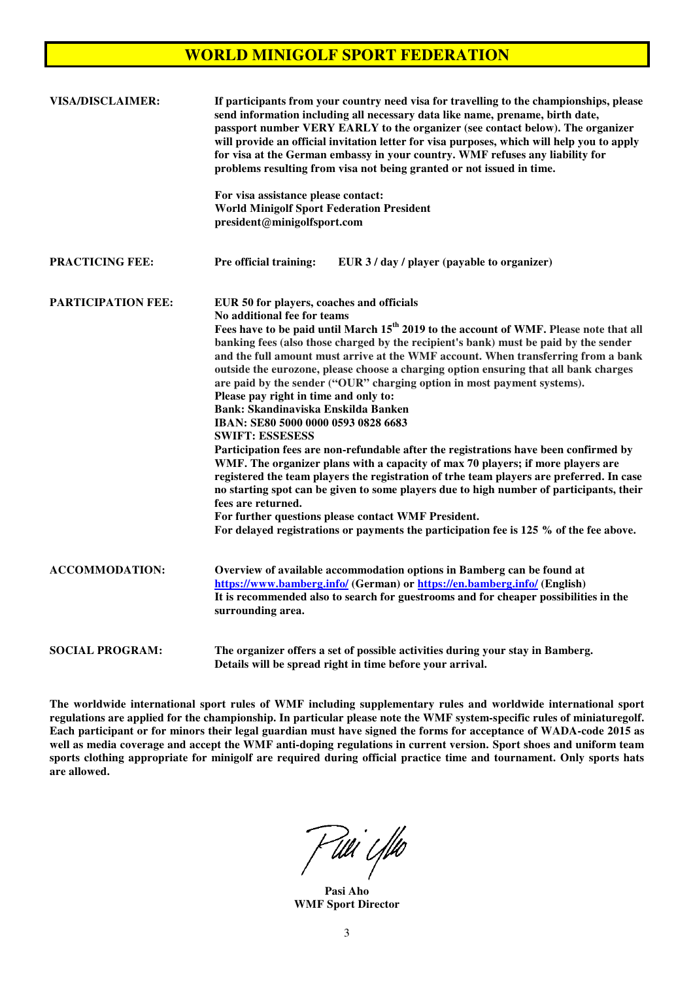| <b>VISA/DISCLAIMER:</b>   | If participants from your country need visa for travelling to the championships, please<br>send information including all necessary data like name, prename, birth date,<br>passport number VERY EARLY to the organizer (see contact below). The organizer<br>will provide an official invitation letter for visa purposes, which will help you to apply<br>for visa at the German embassy in your country. WMF refuses any liability for<br>problems resulting from visa not being granted or not issued in time.                                                                                                                                                                                                                                                                                                                                                                                                                                                                                                                                                                                                                                                                                                              |  |
|---------------------------|---------------------------------------------------------------------------------------------------------------------------------------------------------------------------------------------------------------------------------------------------------------------------------------------------------------------------------------------------------------------------------------------------------------------------------------------------------------------------------------------------------------------------------------------------------------------------------------------------------------------------------------------------------------------------------------------------------------------------------------------------------------------------------------------------------------------------------------------------------------------------------------------------------------------------------------------------------------------------------------------------------------------------------------------------------------------------------------------------------------------------------------------------------------------------------------------------------------------------------|--|
|                           | For visa assistance please contact:<br><b>World Minigolf Sport Federation President</b><br>president@minigolfsport.com                                                                                                                                                                                                                                                                                                                                                                                                                                                                                                                                                                                                                                                                                                                                                                                                                                                                                                                                                                                                                                                                                                          |  |
| <b>PRACTICING FEE:</b>    | Pre official training:<br>EUR 3 / day / player (payable to organizer)                                                                                                                                                                                                                                                                                                                                                                                                                                                                                                                                                                                                                                                                                                                                                                                                                                                                                                                                                                                                                                                                                                                                                           |  |
| <b>PARTICIPATION FEE:</b> | EUR 50 for players, coaches and officials<br>No additional fee for teams<br>Fees have to be paid until March 15 <sup>th</sup> 2019 to the account of WMF. Please note that all<br>banking fees (also those charged by the recipient's bank) must be paid by the sender<br>and the full amount must arrive at the WMF account. When transferring from a bank<br>outside the eurozone, please choose a charging option ensuring that all bank charges<br>are paid by the sender ("OUR" charging option in most payment systems).<br>Please pay right in time and only to:<br><b>Bank: Skandinaviska Enskilda Banken</b><br>IBAN: SE80 5000 0000 0593 0828 6683<br><b>SWIFT: ESSESESS</b><br>Participation fees are non-refundable after the registrations have been confirmed by<br>WMF. The organizer plans with a capacity of max 70 players; if more players are<br>registered the team players the registration of trhe team players are preferred. In case<br>no starting spot can be given to some players due to high number of participants, their<br>fees are returned.<br>For further questions please contact WMF President.<br>For delayed registrations or payments the participation fee is 125 % of the fee above. |  |
| <b>ACCOMMODATION:</b>     | Overview of available accommodation options in Bamberg can be found at<br>https://www.bamberg.info/ (German) or https://en.bamberg.info/ (English)<br>It is recommended also to search for guestrooms and for cheaper possibilities in the<br>surrounding area.                                                                                                                                                                                                                                                                                                                                                                                                                                                                                                                                                                                                                                                                                                                                                                                                                                                                                                                                                                 |  |
| <b>SOCIAL PROGRAM:</b>    | The organizer offers a set of possible activities during your stay in Bamberg.<br>Details will be spread right in time before your arrival.                                                                                                                                                                                                                                                                                                                                                                                                                                                                                                                                                                                                                                                                                                                                                                                                                                                                                                                                                                                                                                                                                     |  |

**The worldwide international sport rules of WMF including supplementary rules and worldwide international sport regulations are applied for the championship. In particular please note the WMF system-specific rules of miniaturegolf. Each participant or for minors their legal guardian must have signed the forms for acceptance of WADA-code 2015 as well as media coverage and accept the WMF anti-doping regulations in current version. Sport shoes and uniform team sports clothing appropriate for minigolf are required during official practice time and tournament. Only sports hats are allowed.** 

F tili i filo

**Pasi Aho WMF Sport Director**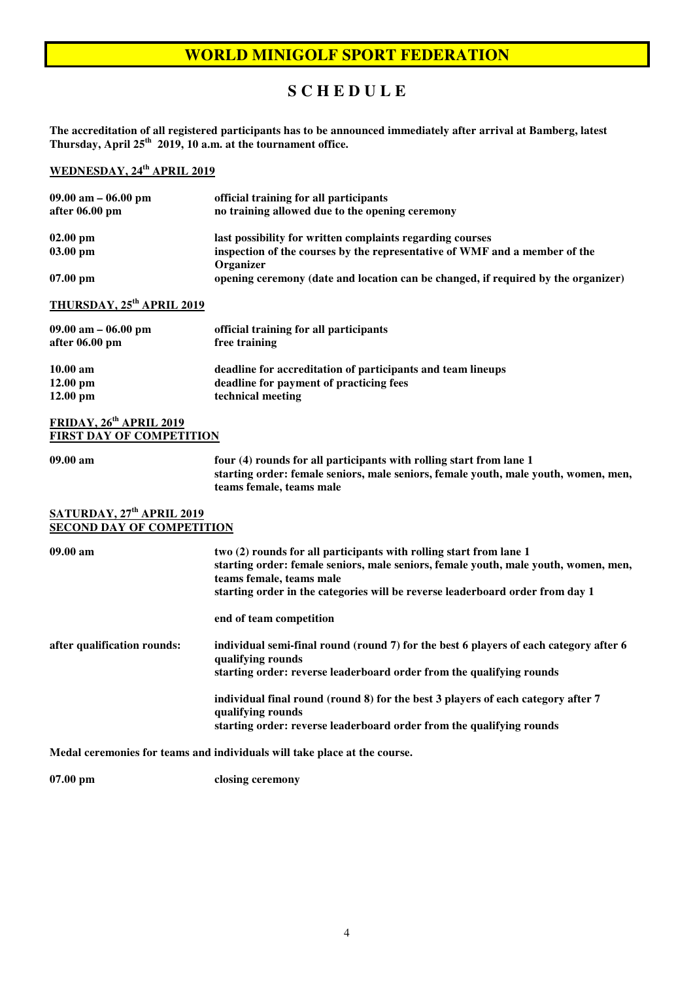## **S C H E D U L E**

**The accreditation of all registered participants has to be announced immediately after arrival at Bamberg, latest Thursday, April 25th 2019, 10 a.m. at the tournament office.** 

# **WEDNESDAY, 24th APRIL 2019**

| $09.00$ am $-06.00$ pm                | official training for all participants                                                  |
|---------------------------------------|-----------------------------------------------------------------------------------------|
| after 06.00 pm                        | no training allowed due to the opening ceremony                                         |
| $02.00$ pm                            | last possibility for written complaints regarding courses                               |
| 03.00 pm                              | inspection of the courses by the representative of WMF and a member of the<br>Organizer |
| $07.00$ pm                            | opening ceremony (date and location can be changed, if required by the organizer)       |
| THURSDAY, 25 <sup>th</sup> APRIL 2019 |                                                                                         |
| $09.00$ am $-06.00$ pm                | official training for all participants                                                  |
| after 06.00 pm                        | free training                                                                           |
| $10.00 \text{ am}$                    | deadline for accreditation of participants and team lineups                             |
| $12.00 \text{ pm}$                    | deadline for payment of practicing fees                                                 |
| $12.00 \text{ pm}$                    | technical meeting                                                                       |

#### **FRIDAY, 26th APRIL 2019 FIRST DAY OF COMPETITION**

**09.00 am four (4) rounds for all participants with rolling start from lane 1 starting order: female seniors, male seniors, female youth, male youth, women, men, teams female, teams male** 

#### **SATURDAY, 27th APRIL 2019 SECOND DAY OF COMPETITION**

| 09.00 am                    | two (2) rounds for all participants with rolling start from lane 1<br>starting order: female seniors, male seniors, female youth, male youth, women, men,<br>teams female, teams male<br>starting order in the categories will be reverse leaderboard order from day 1 |
|-----------------------------|------------------------------------------------------------------------------------------------------------------------------------------------------------------------------------------------------------------------------------------------------------------------|
|                             | end of team competition                                                                                                                                                                                                                                                |
| after qualification rounds: | individual semi-final round (round 7) for the best 6 players of each category after 6<br>qualifying rounds<br>starting order: reverse leaderboard order from the qualifying rounds                                                                                     |
|                             | individual final round (round 8) for the best 3 players of each category after 7<br>qualifying rounds                                                                                                                                                                  |
|                             | starting order: reverse leaderboard order from the qualifying rounds                                                                                                                                                                                                   |
|                             | Medal ceremonies for teams and individuals will take place at the course.                                                                                                                                                                                              |

**07.00 pm closing ceremony**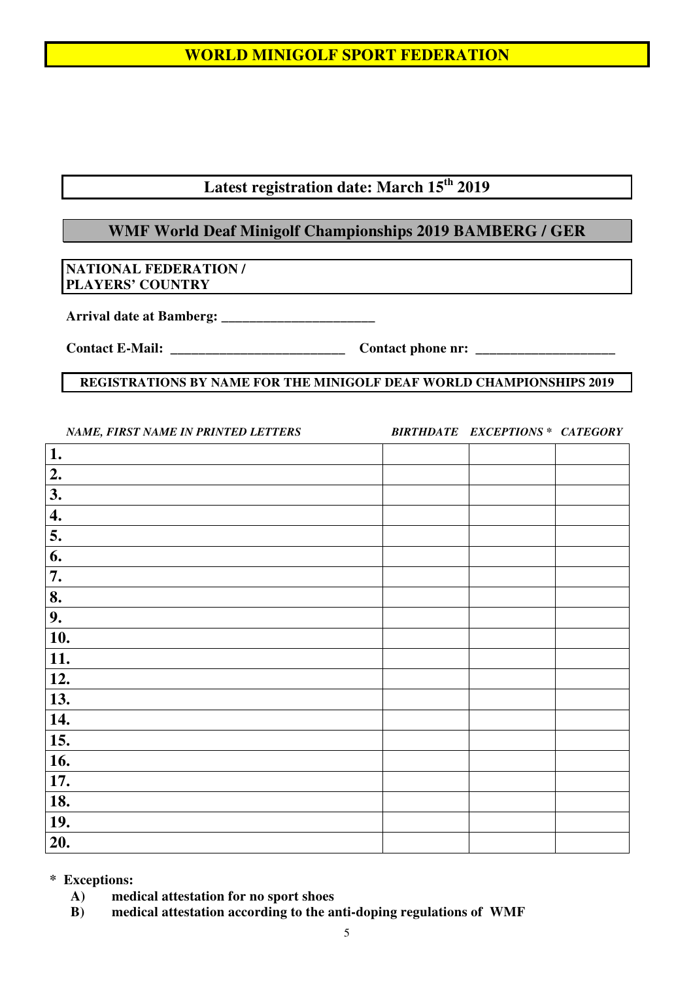# **Latest registration date: March 15th 2019**

# **WMF World Deaf Minigolf Championships 2019 BAMBERG / GER**

## **NATIONAL FEDERATION / PLAYERS' COUNTRY**

**Arrival date at Bamberg: \_\_\_\_\_\_\_\_\_\_\_\_\_\_\_\_\_\_\_\_\_\_**

**Contact E-Mail: \_\_\_\_\_\_\_\_\_\_\_\_\_\_\_\_\_\_\_\_\_\_\_\_\_ Contact phone nr: \_\_\_\_\_\_\_\_\_\_\_\_\_\_\_\_\_\_\_\_** 

#### **REGISTRATIONS BY NAME FOR THE MINIGOLF DEAF WORLD CHAMPIONSHIPS 2019**

*NAME, FIRST NAME IN PRINTED LETTERS BIRTHDATE EXCEPTIONS \* CATEGORY* 

| $1.$             |  |  |
|------------------|--|--|
| 2.               |  |  |
| 3.               |  |  |
| $\overline{4}$ . |  |  |
| 5.               |  |  |
| 6.               |  |  |
| 7.               |  |  |
| 8.               |  |  |
| 9.               |  |  |
| 10.              |  |  |
| 11.              |  |  |
| 12.              |  |  |
| 13.              |  |  |
| 14.              |  |  |
| 15.              |  |  |
| 16.              |  |  |
| 17.              |  |  |
| 18.              |  |  |
| 19.              |  |  |
| 20.              |  |  |

**\* Exceptions:** 

- **A) medical attestation for no sport shoes**
- **B) medical attestation according to the anti-doping regulations of WMF**